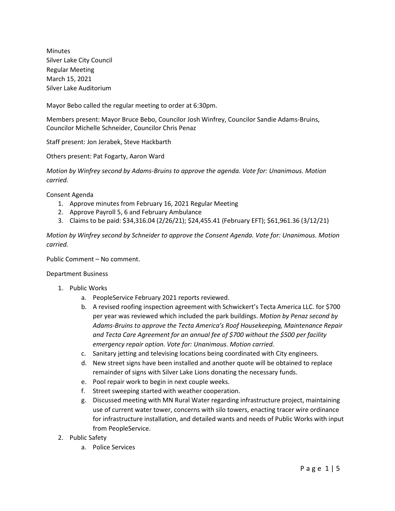Minutes Silver Lake City Council Regular Meeting March 15, 2021 Silver Lake Auditorium

Mayor Bebo called the regular meeting to order at 6:30pm.

Members present: Mayor Bruce Bebo, Councilor Josh Winfrey, Councilor Sandie Adams-Bruins, Councilor Michelle Schneider, Councilor Chris Penaz

Staff present: Jon Jerabek, Steve Hackbarth

Others present: Pat Fogarty, Aaron Ward

*Motion by Winfrey second by Adams-Bruins to approve the agenda. Vote for: Unanimous. Motion carried.*

Consent Agenda

- 1. Approve minutes from February 16, 2021 Regular Meeting
- 2. Approve Payroll 5, 6 and February Ambulance
- 3. Claims to be paid: \$34,316.04 (2/26/21); \$24,455.41 (February EFT); \$61,961.36 (3/12/21)

*Motion by Winfrey second by Schneider to approve the Consent Agenda. Vote for: Unanimous. Motion carried.*

Public Comment – No comment.

Department Business

- 1. Public Works
	- a. PeopleService February 2021 reports reviewed.
	- b. A revised roofing inspection agreement with Schwickert's Tecta America LLC. for \$700 per year was reviewed which included the park buildings. *Motion by Penaz second by Adams-Bruins to approve the Tecta America's Roof Housekeeping, Maintenance Repair and Tecta Care Agreement for an annual fee of \$700 without the \$500 per facility emergency repair option. Vote for: Unanimous. Motion carried.*
	- c. Sanitary jetting and televising locations being coordinated with City engineers.
	- d. New street signs have been installed and another quote will be obtained to replace remainder of signs with Silver Lake Lions donating the necessary funds.
	- e. Pool repair work to begin in next couple weeks.
	- f. Street sweeping started with weather cooperation.
	- g. Discussed meeting with MN Rural Water regarding infrastructure project, maintaining use of current water tower, concerns with silo towers, enacting tracer wire ordinance for infrastructure installation, and detailed wants and needs of Public Works with input from PeopleService.
- 2. Public Safety
	- a. Police Services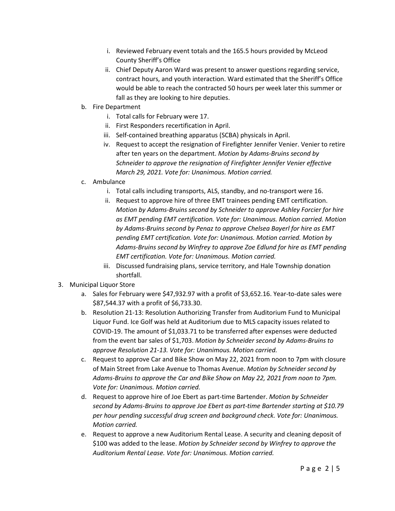- i. Reviewed February event totals and the 165.5 hours provided by McLeod County Sheriff's Office
- ii. Chief Deputy Aaron Ward was present to answer questions regarding service, contract hours, and youth interaction. Ward estimated that the Sheriff's Office would be able to reach the contracted 50 hours per week later this summer or fall as they are looking to hire deputies.
- b. Fire Department
	- i. Total calls for February were 17.
	- ii. First Responders recertification in April.
	- iii. Self-contained breathing apparatus (SCBA) physicals in April.
	- iv. Request to accept the resignation of Firefighter Jennifer Venier. Venier to retire after ten years on the department. *Motion by Adams-Bruins second by Schneider to approve the resignation of Firefighter Jennifer Venier effective March 29, 2021. Vote for: Unanimous. Motion carried.*
- c. Ambulance
	- i. Total calls including transports, ALS, standby, and no-transport were 16.
	- ii. Request to approve hire of three EMT trainees pending EMT certification. *Motion by Adams-Bruins second by Schneider to approve Ashley Forcier for hire as EMT pending EMT certification. Vote for: Unanimous. Motion carried. Motion by Adams-Bruins second by Penaz to approve Chelsea Bayerl for hire as EMT pending EMT certification. Vote for: Unanimous. Motion carried. Motion by Adams-Bruins second by Winfrey to approve Zoe Edlund for hire as EMT pending EMT certification. Vote for: Unanimous. Motion carried.*
	- iii. Discussed fundraising plans, service territory, and Hale Township donation shortfall.
- 3. Municipal Liquor Store
	- a. Sales for February were \$47,932.97 with a profit of \$3,652.16. Year-to-date sales were \$87,544.37 with a profit of \$6,733.30.
	- b. Resolution 21-13: Resolution Authorizing Transfer from Auditorium Fund to Municipal Liquor Fund. Ice Golf was held at Auditorium due to MLS capacity issues related to COVID-19. The amount of \$1,033.71 to be transferred after expenses were deducted from the event bar sales of \$1,703. *Motion by Schneider second by Adams-Bruins to approve Resolution 21-13. Vote for: Unanimous. Motion carried.*
	- c. Request to approve Car and Bike Show on May 22, 2021 from noon to 7pm with closure of Main Street from Lake Avenue to Thomas Avenue. *Motion by Schneider second by Adams-Bruins to approve the Car and Bike Show on May 22, 2021 from noon to 7pm. Vote for: Unanimous. Motion carried.*
	- d. Request to approve hire of Joe Ebert as part-time Bartender. *Motion by Schneider second by Adams-Bruins to approve Joe Ebert as part-time Bartender starting at \$10.79 per hour pending successful drug screen and background check. Vote for: Unanimous. Motion carried.*
	- e. Request to approve a new Auditorium Rental Lease. A security and cleaning deposit of \$100 was added to the lease. *Motion by Schneider second by Winfrey to approve the Auditorium Rental Lease. Vote for: Unanimous. Motion carried.*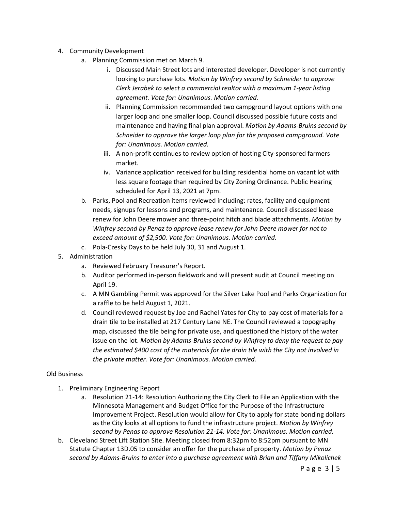- 4. Community Development
	- a. Planning Commission met on March 9.
		- i. Discussed Main Street lots and interested developer. Developer is not currently looking to purchase lots. *Motion by Winfrey second by Schneider to approve Clerk Jerabek to select a commercial realtor with a maximum 1-year listing agreement. Vote for: Unanimous. Motion carried.*
		- ii. Planning Commission recommended two campground layout options with one larger loop and one smaller loop. Council discussed possible future costs and maintenance and having final plan approval. *Motion by Adams-Bruins second by Schneider to approve the larger loop plan for the proposed campground. Vote for: Unanimous. Motion carried.*
		- iii. A non-profit continues to review option of hosting City-sponsored farmers market.
		- iv. Variance application received for building residential home on vacant lot with less square footage than required by City Zoning Ordinance. Public Hearing scheduled for April 13, 2021 at 7pm.
	- b. Parks, Pool and Recreation items reviewed including: rates, facility and equipment needs, signups for lessons and programs, and maintenance. Council discussed lease renew for John Deere mower and three-point hitch and blade attachments. *Motion by Winfrey second by Penaz to approve lease renew for John Deere mower for not to exceed amount of \$2,500. Vote for: Unanimous. Motion carried.*
	- c. Pola-Czesky Days to be held July 30, 31 and August 1.
- 5. Administration
	- a. Reviewed February Treasurer's Report.
	- b. Auditor performed in-person fieldwork and will present audit at Council meeting on April 19.
	- c. A MN Gambling Permit was approved for the Silver Lake Pool and Parks Organization for a raffle to be held August 1, 2021.
	- d. Council reviewed request by Joe and Rachel Yates for City to pay cost of materials for a drain tile to be installed at 217 Century Lane NE. The Council reviewed a topography map, discussed the tile being for private use, and questioned the history of the water issue on the lot. *Motion by Adams-Bruins second by Winfrey to deny the request to pay the estimated \$400 cost of the materials for the drain tile with the City not involved in the private matter. Vote for: Unanimous. Motion carried.*

#### Old Business

- 1. Preliminary Engineering Report
	- a. Resolution 21-14: Resolution Authorizing the City Clerk to File an Application with the Minnesota Management and Budget Office for the Purpose of the Infrastructure Improvement Project. Resolution would allow for City to apply for state bonding dollars as the City looks at all options to fund the infrastructure project. *Motion by Winfrey second by Penas to approve Resolution 21-14. Vote for: Unanimous. Motion carried.*
- b. Cleveland Street Lift Station Site. Meeting closed from 8:32pm to 8:52pm pursuant to MN Statute Chapter 13D.05 to consider an offer for the purchase of property. *Motion by Penaz second by Adams-Bruins to enter into a purchase agreement with Brian and Tiffany Mikolichek*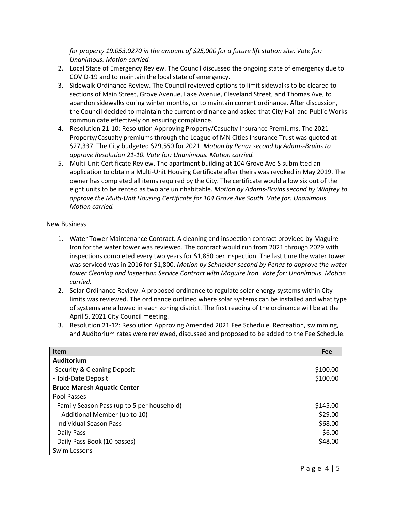*for property 19.053.0270 in the amount of \$25,000 for a future lift station site. Vote for: Unanimous. Motion carried.* 

- 2. Local State of Emergency Review. The Council discussed the ongoing state of emergency due to COVID-19 and to maintain the local state of emergency.
- 3. Sidewalk Ordinance Review. The Council reviewed options to limit sidewalks to be cleared to sections of Main Street, Grove Avenue, Lake Avenue, Cleveland Street, and Thomas Ave, to abandon sidewalks during winter months, or to maintain current ordinance. After discussion, the Council decided to maintain the current ordinance and asked that City Hall and Public Works communicate effectively on ensuring compliance.
- 4. Resolution 21-10: Resolution Approving Property/Casualty Insurance Premiums. The 2021 Property/Casualty premiums through the League of MN Cities Insurance Trust was quoted at \$27,337. The City budgeted \$29,550 for 2021. *Motion by Penaz second by Adams-Bruins to approve Resolution 21-10. Vote for: Unanimous. Motion carried.*
- 5. Multi-Unit Certificate Review. The apartment building at 104 Grove Ave S submitted an application to obtain a Multi-Unit Housing Certificate after theirs was revoked in May 2019. The owner has completed all items required by the City. The certificate would allow six out of the eight units to be rented as two are uninhabitable. *Motion by Adams-Bruins second by Winfrey to approve the Multi-Unit Housing Certificate for 104 Grove Ave South. Vote for: Unanimous. Motion carried.*

#### New Business

- 1. Water Tower Maintenance Contract. A cleaning and inspection contract provided by Maguire Iron for the water tower was reviewed. The contract would run from 2021 through 2029 with inspections completed every two years for \$1,850 per inspection. The last time the water tower was serviced was in 2016 for \$1,800. *Motion by Schneider second by Penaz to approve the water tower Cleaning and Inspection Service Contract with Maguire Iron. Vote for: Unanimous. Motion carried.*
- 2. Solar Ordinance Review. A proposed ordinance to regulate solar energy systems within City limits was reviewed. The ordinance outlined where solar systems can be installed and what type of systems are allowed in each zoning district. The first reading of the ordinance will be at the April 5, 2021 City Council meeting.
- 3. Resolution 21-12: Resolution Approving Amended 2021 Fee Schedule. Recreation, swimming, and Auditorium rates were reviewed, discussed and proposed to be added to the Fee Schedule.

| <b>Item</b>                                  | Fee      |
|----------------------------------------------|----------|
| Auditorium                                   |          |
| -Security & Cleaning Deposit                 | \$100.00 |
| -Hold-Date Deposit                           | \$100.00 |
| <b>Bruce Maresh Aquatic Center</b>           |          |
| Pool Passes                                  |          |
| --Family Season Pass (up to 5 per household) | \$145.00 |
| ----Additional Member (up to 10)             | \$29.00  |
| --Individual Season Pass                     | \$68.00  |
| --Daily Pass                                 | \$6.00   |
| --Daily Pass Book (10 passes)                | \$48.00  |
| Swim Lessons                                 |          |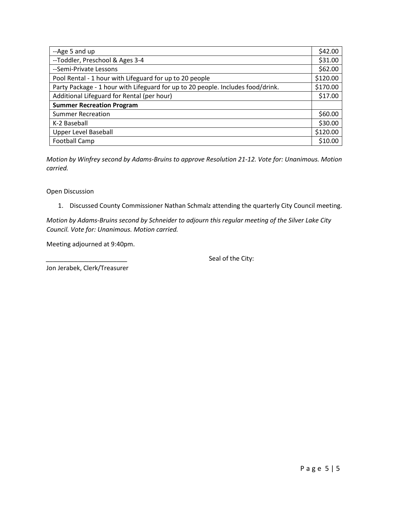| --Age 5 and up                                                                  | \$42.00  |
|---------------------------------------------------------------------------------|----------|
| --Toddler, Preschool & Ages 3-4                                                 | \$31.00  |
| --Semi-Private Lessons                                                          | \$62.00  |
| Pool Rental - 1 hour with Lifeguard for up to 20 people                         | \$120.00 |
| Party Package - 1 hour with Lifeguard for up to 20 people. Includes food/drink. | \$170.00 |
| Additional Lifeguard for Rental (per hour)                                      | \$17.00  |
| <b>Summer Recreation Program</b>                                                |          |
| <b>Summer Recreation</b>                                                        | \$60.00  |
| K-2 Baseball                                                                    | \$30.00  |
| <b>Upper Level Baseball</b>                                                     | \$120.00 |
| Football Camp                                                                   | \$10.00  |

*Motion by Winfrey second by Adams-Bruins to approve Resolution 21-12. Vote for: Unanimous. Motion carried.* 

Open Discussion

1. Discussed County Commissioner Nathan Schmalz attending the quarterly City Council meeting.

*Motion by Adams-Bruins second by Schneider to adjourn this regular meeting of the Silver Lake City Council. Vote for: Unanimous. Motion carried.*

Meeting adjourned at 9:40pm.

Seal of the City:

Jon Jerabek, Clerk/Treasurer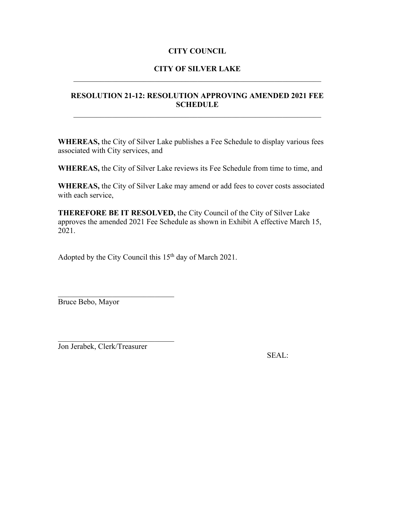# **CITY COUNCIL**

# **CITY OF SILVER LAKE** \_\_\_\_\_\_\_\_\_\_\_\_\_\_\_\_\_\_\_\_\_\_\_\_\_\_\_\_\_\_\_\_\_\_\_\_\_\_\_\_\_\_\_\_\_\_\_\_\_\_\_\_\_\_\_\_\_\_\_\_\_\_\_\_

# **RESOLUTION 21-12: RESOLUTION APPROVING AMENDED 2021 FEE SCHEDULE**

**WHEREAS,** the City of Silver Lake publishes a Fee Schedule to display various fees associated with City services, and

**WHEREAS,** the City of Silver Lake reviews its Fee Schedule from time to time, and

**WHEREAS,** the City of Silver Lake may amend or add fees to cover costs associated with each service,

**THEREFORE BE IT RESOLVED,** the City Council of the City of Silver Lake approves the amended 2021 Fee Schedule as shown in Exhibit A effective March 15, 2021.

Adopted by the City Council this 15<sup>th</sup> day of March 2021.

Bruce Bebo, Mayor

Jon Jerabek, Clerk/Treasurer

SEAL: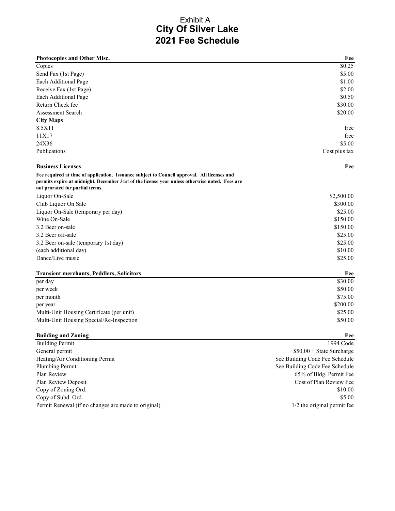# **City Of Silver Lake 2021 Fee Schedule** Exhibit A

| Photocopies and Other Misc.                                                                    | Fee                            |
|------------------------------------------------------------------------------------------------|--------------------------------|
| Copies                                                                                         | \$0.25                         |
| Send Fax (1st Page)                                                                            | \$5.00                         |
| Each Additional Page                                                                           | \$1.00                         |
| Receive Fax (1st Page)                                                                         | \$2.00                         |
| Each Additional Page                                                                           | \$0.50                         |
| Return Check fee                                                                               | \$30.00                        |
| <b>Assessment Search</b>                                                                       | \$20.00                        |
| <b>City Maps</b>                                                                               |                                |
| 8.5X11                                                                                         | free                           |
| 11X17                                                                                          | free                           |
| 24X36                                                                                          | \$5.00                         |
| Publications                                                                                   | Cost plus tax                  |
| <b>Business Licenses</b>                                                                       | Fee                            |
| Fee required at time of application. Issuance subject to Council approval. All licenses and    |                                |
| permits expire at midnight, December 31st of the license year unless otherwise noted. Fees are |                                |
| not prorated for partial terms.                                                                |                                |
| Liquor On-Sale                                                                                 | \$2,500.00                     |
| Club Liquor On Sale                                                                            | \$300.00                       |
| Liquor On-Sale (temporary per day)                                                             | \$25.00                        |
| Wine On-Sale                                                                                   | \$150.00                       |
| 3.2 Beer on-sale                                                                               | \$150.00                       |
| 3.2 Beer off-sale                                                                              | \$25.00                        |
| 3.2 Beer on-sale (temporary 1st day)                                                           | \$25.00                        |
| (each additional day)                                                                          | \$10.00                        |
| Dance/Live music                                                                               | \$25.00                        |
| <b>Transient merchants, Peddlers, Solicitors</b>                                               | Fee                            |
| per day                                                                                        | \$30.00                        |
| per week                                                                                       | \$50.00                        |
| per month                                                                                      | \$75.00                        |
| per year                                                                                       | \$200.00                       |
| Multi-Unit Housing Certificate (per unit)                                                      | \$25.00                        |
| Multi-Unit Housing Special/Re-Inspection                                                       | \$50.00                        |
| <b>Building and Zoning</b>                                                                     | Fee                            |
| <b>Building Permit</b>                                                                         | 1994 Code                      |
| General permit                                                                                 | $$50.00 + State Survey$        |
| Heating/Air Conditioning Permit                                                                | See Building Code Fee Schedule |
| Plumbing Permit                                                                                | See Building Code Fee Schedule |

Plan Review 65% of Bldg. Permit Fee Plan Review Deposit Cost of Plan Review Fee Copy of Zoning Ord. \$10.00 Copy of Subd. Ord. \$5.00 Permit Renewal (if no changes are made to original) 1/2 the original permit fee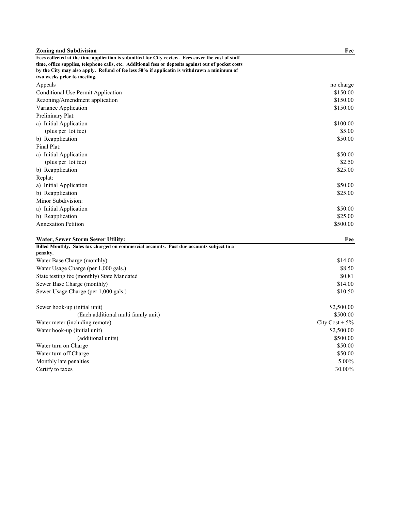| <b>Zoning and Subdivision</b>                                                                                             | Fee              |
|---------------------------------------------------------------------------------------------------------------------------|------------------|
| Fees collected at the time application is submitted for City review. Fees cover the cost of staff                         |                  |
| time, office supplies, telephone calls, etc. Additional fees or deposits against out of pocket costs                      |                  |
| by the City may also apply. Refund of fee less 50% if applicatin is withdrawn a minimum of<br>two weeks prior to meeting. |                  |
| Appeals                                                                                                                   | no charge        |
|                                                                                                                           | \$150.00         |
| Conditional Use Permit Application                                                                                        | \$150.00         |
| Rezoning/Amendment application                                                                                            |                  |
| Variance Application                                                                                                      | \$150.00         |
| Prelininary Plat:                                                                                                         |                  |
| a) Initial Application                                                                                                    | \$100.00         |
| (plus per lot fee)                                                                                                        | \$5.00           |
| b) Reapplication                                                                                                          | \$50.00          |
| Final Plat:                                                                                                               |                  |
| a) Initial Application                                                                                                    | \$50.00          |
| (plus per lot fee)                                                                                                        | \$2.50           |
| b) Reapplication                                                                                                          | \$25.00          |
| Replat:                                                                                                                   |                  |
| a) Initial Application                                                                                                    | \$50.00          |
| b) Reapplication                                                                                                          | \$25.00          |
| Minor Subdivision:                                                                                                        |                  |
| a) Initial Application                                                                                                    | \$50.00          |
| b) Reapplication                                                                                                          | \$25.00          |
| <b>Annexation Petition</b>                                                                                                | \$500.00         |
| Water, Sewer Storm Sewer Utility:                                                                                         | Fee              |
| Billed Monthly. Sales tax charged on commercial accounts. Past due accounts subject to a                                  |                  |
| penalty.                                                                                                                  |                  |
| Water Base Charge (monthly)                                                                                               | \$14.00          |
| Water Usage Charge (per 1,000 gals.)                                                                                      | \$8.50           |
| State testing fee (monthly) State Mandated                                                                                | \$0.81           |
| Sewer Base Charge (monthly)                                                                                               | \$14.00          |
| Sewer Usage Charge (per 1,000 gals.)                                                                                      | \$10.50          |
| Sewer hook-up (initial unit)                                                                                              | \$2,500.00       |
| (Each additional multi family unit)                                                                                       | \$500.00         |
| Water meter (including remote)                                                                                            | City Cost $+5\%$ |
| Water hook-up (initial unit)                                                                                              | \$2,500.00       |
| (additional units)                                                                                                        | \$500.00         |
| Water turn on Charge                                                                                                      | \$50.00          |
| Water turn off Charge                                                                                                     | \$50.00          |
| Monthly late penalties                                                                                                    | 5.00%            |
| Certify to taxes                                                                                                          | 30.00%           |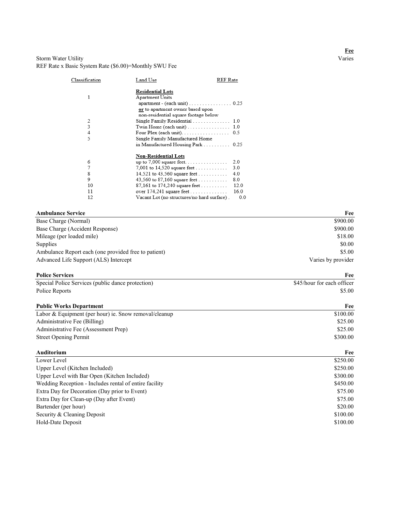#### Storm Water Utility REF Rate x Basic System Rate (\$6.00)=Monthly SWU Fee

| Classification | Land Use                                                                                    | REF Rate |
|----------------|---------------------------------------------------------------------------------------------|----------|
|                | <b>Residential Lots</b>                                                                     |          |
| 1              | Apartment Units                                                                             |          |
|                | $apartment - (each unit) \dots \dots \dots \dots \dots \dots \dots \dots \dots \dots \dots$ |          |
|                | or to apartment owner based upon                                                            |          |
|                | non-residential square footage below                                                        |          |
| 2              | Single Family Residential  1.0                                                              |          |
| 3              |                                                                                             |          |
| 4              | Four Plex (each unit). $\ldots$ . 0.5                                                       |          |
| 5              | Single Family Manufactured Home                                                             |          |
|                | in Manufactured Housing Park  0.25                                                          |          |
|                | <b>Non-Residential Lots</b>                                                                 |          |
| 6              | up to $7,000$ square feet                                                                   | 2.0      |
| 7              | 7,001 to 14,520 square feet                                                                 | 3.0      |
| g              | 14,521 to $43,560$ square feet                                                              | 4.0      |
| 9              | 43,560 to 87,160 square feet                                                                | 8.0      |
| 10             | 87,161 to 174,240 square feet                                                               | 12.0     |
| 11             |                                                                                             | 16.0     |
| 12             | Vacant Lot (no structures/no hard surface).                                                 | 0.0      |

| <b>Ambulance Service</b>                             | Fee                |
|------------------------------------------------------|--------------------|
| Base Charge (Normal)                                 | \$900.00           |
| Base Charge (Accident Response)                      | \$900.00           |
| Mileage (per loaded mile)                            | \$18.00            |
| Supplies                                             | \$0.00             |
| Ambulance Report each (one provided free to patient) | \$5.00             |
| Advanced Life Support (ALS) Intercept                | Varies by provider |

#### **Police Services Fee**

| Special Police Services (public dance protection) | \$45/hour for each officer |
|---------------------------------------------------|----------------------------|
| Police Reports                                    | \$5.00                     |

| <b>Public Works Department</b>                        | Fee      |
|-------------------------------------------------------|----------|
| Labor & Equipment (per hour) ie. Snow removal/cleanup | \$100.00 |
| Administrative Fee (Billing)                          | \$25.00  |
| Administrative Fee (Assessment Prep)                  | \$25.00  |
| <b>Street Opening Permit</b>                          | \$300.00 |
| Auditorium                                            | Fee      |

| Lower Level                                            | \$250.00 |
|--------------------------------------------------------|----------|
| Upper Level (Kitchen Included)                         | \$250.00 |
| Upper Level with Bar Open (Kitchen Included)           | \$300.00 |
| Wedding Reception - Includes rental of entire facility | \$450.00 |
| Extra Day for Decoration (Day prior to Event)          | \$75.00  |
| Extra Day for Clean-up (Day after Event)               | \$75.00  |
| Bartender (per hour)                                   | \$20.00  |
| Security & Cleaning Deposit                            | \$100.00 |
| Hold-Date Deposit                                      | \$100.00 |
|                                                        |          |

# **Fee**<br>Varies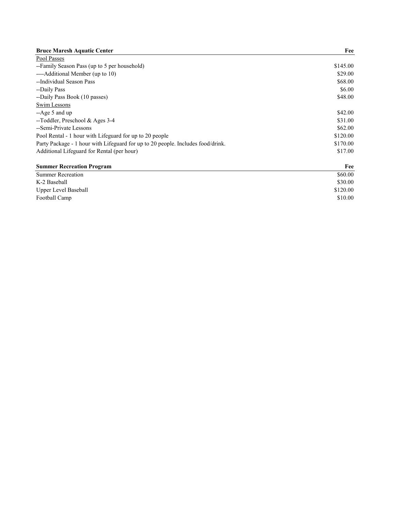| <b>Bruce Maresh Aquatic Center</b>                                              | Fee      |
|---------------------------------------------------------------------------------|----------|
| Pool Passes                                                                     |          |
| --Family Season Pass (up to 5 per household)                                    | \$145.00 |
| ----Additional Member (up to 10)                                                | \$29.00  |
| --Individual Season Pass                                                        | \$68.00  |
| --Daily Pass                                                                    | \$6.00   |
| --Daily Pass Book (10 passes)                                                   | \$48.00  |
| Swim Lessons                                                                    |          |
| $-A$ ge 5 and up                                                                | \$42.00  |
| --Toddler, Preschool & Ages 3-4                                                 | \$31.00  |
| --Semi-Private Lessons                                                          | \$62.00  |
| Pool Rental - 1 hour with Lifeguard for up to 20 people                         | \$120.00 |
| Party Package - 1 hour with Lifeguard for up to 20 people. Includes food/drink. | \$170.00 |
| Additional Lifeguard for Rental (per hour)                                      | \$17.00  |
| <b>Summer Recreation Program</b>                                                | Fee      |
| <b>Summer Recreation</b>                                                        | \$60.00  |

| \$60.00  |
|----------|
| \$30.00  |
| \$120.00 |
| \$10.00  |
|          |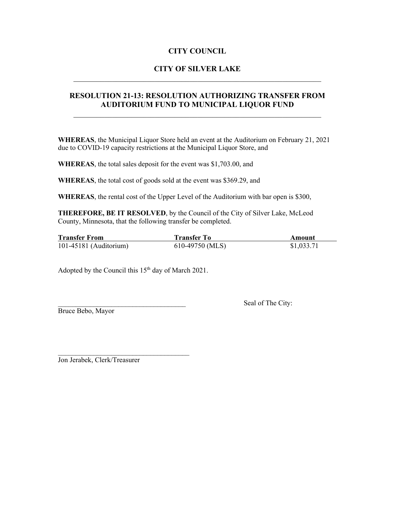# **CITY COUNCIL**

# **CITY OF SILVER LAKE** \_\_\_\_\_\_\_\_\_\_\_\_\_\_\_\_\_\_\_\_\_\_\_\_\_\_\_\_\_\_\_\_\_\_\_\_\_\_\_\_\_\_\_\_\_\_\_\_\_\_\_\_\_\_\_\_\_\_\_\_\_\_\_\_

### **RESOLUTION 21-13: RESOLUTION AUTHORIZING TRANSFER FROM AUDITORIUM FUND TO MUNICIPAL LIQUOR FUND**

**WHEREAS**, the Municipal Liquor Store held an event at the Auditorium on February 21, 2021 due to COVID-19 capacity restrictions at the Municipal Liquor Store, and

**WHEREAS**, the total sales deposit for the event was \$1,703.00, and

**WHEREAS**, the total cost of goods sold at the event was \$369.29, and

**WHEREAS**, the rental cost of the Upper Level of the Auditorium with bar open is \$300,

**THEREFORE, BE IT RESOLVED**, by the Council of the City of Silver Lake, McLeod County, Minnesota, that the following transfer be completed.

| <b>Transfer From</b>     | Transfer To     | Amount     |
|--------------------------|-----------------|------------|
| $101-45181$ (Auditorium) | 610-49750 (MLS) | \$1,033.71 |

Adopted by the Council this  $15<sup>th</sup>$  day of March 2021.

Bruce Bebo, Mayor

Seal of The City:

Jon Jerabek, Clerk/Treasurer

 $\mathcal{L}_\text{max}$  , where  $\mathcal{L}_\text{max}$  , we are the set of the set of the set of the set of the set of the set of the set of the set of the set of the set of the set of the set of the set of the set of the set of the set of